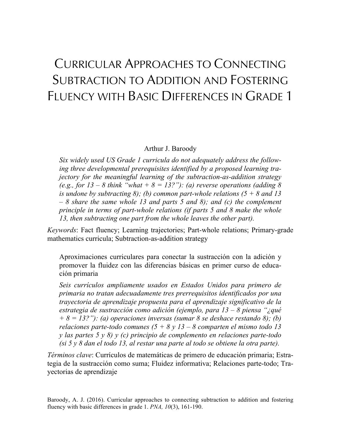# CURRICULAR APPROACHES TO CONNECTING SUBTRACTION TO ADDITION AND FOSTERING FLUENCY WITH BASIC DIFFERENCES IN GRADE 1

#### Arthur J. Baroody

*Six widely used US Grade 1 curricula do not adequately address the following three developmental prerequisites identified by a proposed learning trajectory for the meaningful learning of the subtraction-as-addition strategy (e.g., for*  $13 - 8$  *think* "what  $+8 = 13$ ?"): *(a) reverse operations (adding 8 is undone by subtracting 8); (b) common part-whole relations*  $(5 + 8$  *and 13 – 8 share the same whole 13 and parts 5 and 8); and (c) the complement principle in terms of part-whole relations (if parts 5 and 8 make the whole 13, then subtracting one part from the whole leaves the other part).*

*Keywords*: Fact fluency; Learning trajectories; Part-whole relations; Primary-grade mathematics curricula; Subtraction-as-addition strategy

Aproximaciones curriculares para conectar la sustracción con la adición y promover la fluidez con las diferencias básicas en primer curso de educación primaria

*Seis currículos ampliamente usados en Estados Unidos para primero de primaria no tratan adecuadamente tres prerrequisitos identificados por una trayectoria de aprendizaje propuesta para el aprendizaje significativo de la estrategia de sustracción como adición (ejemplo, para 13 – 8 piensa "¿qué + 8 = 13?"): (a) operaciones inversas (sumar 8 se deshace restando 8); (b) relaciones parte-todo comunes (5 + 8 y 13 – 8 comparten el mismo todo 13 y las partes 5 y 8) y (c) principio de complemento en relaciones parte-todo (si 5 y 8 dan el todo 13, al restar una parte al todo se obtiene la otra parte).*

*Términos clave*: Currículos de matemáticas de primero de educación primaria; Estrategia de la sustracción como suma; Fluidez informativa; Relaciones parte-todo; Trayectorias de aprendizaje

Baroody, A. J. (2016). Curricular approaches to connecting subtraction to addition and fostering fluency with basic differences in grade 1. *PNA, 10*(3), 161-190.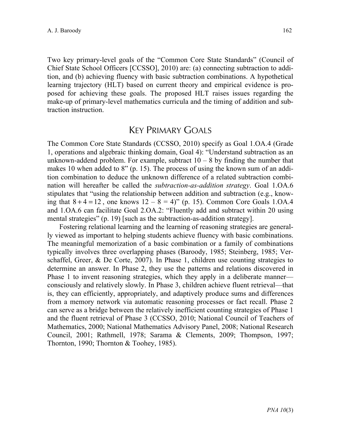Two key primary-level goals of the "Common Core State Standards" (Council of Chief State School Officers [CCSSO], 2010) are: (a) connecting subtraction to addition, and (b) achieving fluency with basic subtraction combinations. A hypothetical learning trajectory (HLT) based on current theory and empirical evidence is proposed for achieving these goals. The proposed HLT raises issues regarding the make-up of primary-level mathematics curricula and the timing of addition and subtraction instruction.

## KEY PRIMARY GOALS

The Common Core State Standards (CCSSO, 2010) specify as Goal 1.OA.4 (Grade 1, operations and algebraic thinking domain, Goal 4): "Understand subtraction as an unknown-addend problem. For example, subtract  $10 - 8$  by finding the number that makes 10 when added to 8" (p. 15). The process of using the known sum of an addition combination to deduce the unknown difference of a related subtraction combination will hereafter be called the *subtraction-as-addition strategy*. Goal 1.OA.6 stipulates that "using the relationship between addition and subtraction (e.g., knowing that  $8 + 4 = 12$ , one knows  $12 - 8 = 4$ )" (p. 15). Common Core Goals 1.OA.4 and 1.OA.6 can facilitate Goal 2.OA.2: "Fluently add and subtract within 20 using mental strategies" (p. 19) [such as the subtraction-as-addition strategy].

Fostering relational learning and the learning of reasoning strategies are generally viewed as important to helping students achieve fluency with basic combinations. The meaningful memorization of a basic combination or a family of combinations typically involves three overlapping phases (Baroody, 1985; Steinberg, 1985; Verschaffel, Greer, & De Corte, 2007). In Phase 1, children use counting strategies to determine an answer. In Phase 2, they use the patterns and relations discovered in Phase 1 to invent reasoning strategies, which they apply in a deliberate manner consciously and relatively slowly. In Phase 3, children achieve fluent retrieval—that is, they can efficiently, appropriately, and adaptively produce sums and differences from a memory network via automatic reasoning processes or fact recall. Phase 2 can serve as a bridge between the relatively inefficient counting strategies of Phase 1 and the fluent retrieval of Phase 3 (CCSSO, 2010; National Council of Teachers of Mathematics, 2000; National Mathematics Advisory Panel, 2008; National Research Council, 2001; Rathmell, 1978; Sarama & Clements, 2009; Thompson, 1997; Thornton, 1990; Thornton & Toohey, 1985).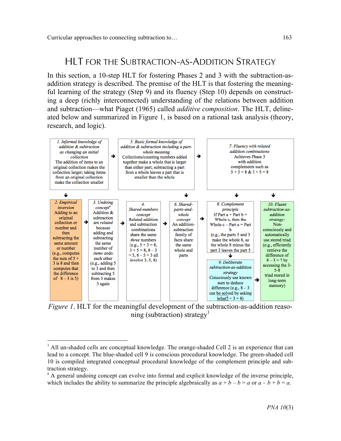# HLT FOR THE SUBTRACTION-AS-ADDITION STRATEGY

In this section, a 10-step HLT for fostering Phases 2 and 3 with the subtraction-asaddition strategy is described. The premise of the HLT is that fostering the meaningful learning of the strategy (Step 9) and its fluency (Step 10) depends on constructing a deep (richly interconnected) understanding of the relations between addition and subtraction—what Piaget (1965) called *additive composition*. The HLT, delineated below and summarized in Figure 1, is based on a rational task analysis (theory, research, and logic).



*Figure 1*. HLT for the meaningful development of the subtraction-as-addition reasoning (subtraction) strategy<sup>1</sup>

 $<sup>1</sup>$  All un-shaded cells are conceptual knowledge. The orange-shaded Cell 2 is an experience that can</sup> lead to a concept. The blue-shaded cell 9 is conscious procedural knowledge. The green-shaded cell 10 is compiled integrated conceptual procedural knowledge of the complement principle and subtraction strategy.<br><sup>a</sup> A general undoing concept can evolve into formal and explicit knowledge of the inverse principle,

which includes the ability to summarize the principle algebraically as  $a + b - b = a$  or  $a - b + b = a$ .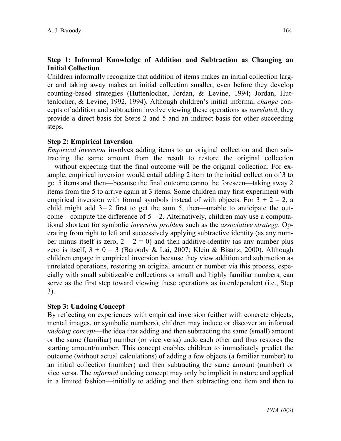#### **Step 1: Informal Knowledge of Addition and Subtraction as Changing an Initial Collection**

Children informally recognize that addition of items makes an initial collection larger and taking away makes an initial collection smaller, even before they develop counting-based strategies (Huttenlocher, Jordan, & Levine, 1994; Jordan, Huttenlocher, & Levine, 1992, 1994). Although children's initial informal *change* concepts of addition and subtraction involve viewing these operations as *unrelated*, they provide a direct basis for Steps 2 and 5 and an indirect basis for other succeeding steps.

#### **Step 2: Empirical Inversion**

*Empirical inversion* involves adding items to an original collection and then subtracting the same amount from the result to restore the original collection —without expecting that the final outcome will be the original collection. For example, empirical inversion would entail adding 2 item to the initial collection of 3 to get 5 items and then—because the final outcome cannot be foreseen—taking away 2 items from the 5 to arrive again at 3 items. Some children may first experiment with empirical inversion with formal symbols instead of with objects. For  $3 + 2 - 2$ , a child might add  $3+2$  first to get the sum 5, then—unable to anticipate the outcome—compute the difference of  $5 - 2$ . Alternatively, children may use a computational shortcut for symbolic *inversion problem* such as the *associative strategy*: Operating from right to left and successively applying subtractive identity (as any number minus itself is zero,  $2 - 2 = 0$ ) and then additive-identity (as any number plus zero is itself,  $3 + 0 = 3$  (Baroody & Lai, 2007; Klein & Bisanz, 2000). Although children engage in empirical inversion because they view addition and subtraction as unrelated operations, restoring an original amount or number via this process, especially with small subitizeable collections or small and highly familiar numbers, can serve as the first step toward viewing these operations as interdependent (i.e., Step 3).

#### **Step 3: Undoing Concept**

By reflecting on experiences with empirical inversion (either with concrete objects, mental images, or symbolic numbers), children may induce or discover an informal *undoing concept*—the idea that adding and then subtracting the same (small) amount or the same (familiar) number (or vice versa) undo each other and thus restores the starting amount/number. This concept enables children to immediately predict the outcome (without actual calculations) of adding a few objects (a familiar number) to an initial collection (number) and then subtracting the same amount (number) or vice versa. The *informal* undoing concept may only be implicit in nature and applied in a limited fashion—initially to adding and then subtracting one item and then to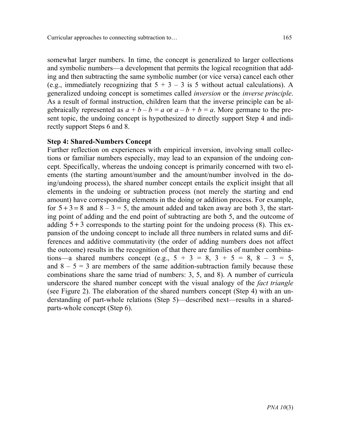somewhat larger numbers. In time, the concept is generalized to larger collections and symbolic numbers—a development that permits the logical recognition that adding and then subtracting the same symbolic number (or vice versa) cancel each other (e.g., immediately recognizing that  $5 + 3 - 3$  is 5 without actual calculations). A generalized undoing concept is sometimes called *inversion* or the *inverse principle*. As a result of formal instruction, children learn that the inverse principle can be algebraically represented as  $a + b - b = a$  or  $a - b + b = a$ . More germane to the present topic, the undoing concept is hypothesized to directly support Step 4 and indirectly support Steps 6 and 8.

#### **Step 4: Shared-Numbers Concept**

Further reflection on experiences with empirical inversion, involving small collections or familiar numbers especially, may lead to an expansion of the undoing concept. Specifically, whereas the undoing concept is primarily concerned with two elements (the starting amount/number and the amount/number involved in the doing/undoing process), the shared number concept entails the explicit insight that all elements in the undoing or subtraction process (not merely the starting and end amount) have corresponding elements in the doing or addition process. For example, for  $5 + 3 = 8$  and  $8 - 3 = 5$ , the amount added and taken away are both 3, the starting point of adding and the end point of subtracting are both 5, and the outcome of adding  $5 + 3$  corresponds to the starting point for the undoing process (8). This expansion of the undoing concept to include all three numbers in related sums and differences and additive commutativity (the order of adding numbers does not affect the outcome) results in the recognition of that there are families of number combinations—a shared numbers concept (e.g.,  $5 + 3 = 8$ ,  $3 + 5 = 8$ ,  $8 - 3 = 5$ , and  $8 - 5 = 3$  are members of the same addition-subtraction family because these combinations share the same triad of numbers: 3, 5, and 8). A number of curricula underscore the shared number concept with the visual analogy of the *fact triangle* (see Figure 2). The elaboration of the shared numbers concept (Step 4) with an understanding of part-whole relations (Step 5)—described next—results in a sharedparts-whole concept (Step 6).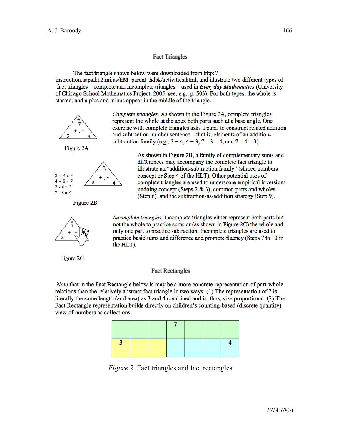#### **Fact Triangles**

The fact triangle shown below were downloaded from http:// instruction.aaps.k12.mi.us/EM parent hdbk/activities.html, and illustrate two different types of fact triangles—complete and incomplete triangles—used in *Everyday Mathematics* (University of Chicago School Mathematics Project, 2005; see, e.g., p. 503). For both types, the whole is starred, and a plus and minus appear in the middle of the triangle.



Complete triangles. As shown in the Figure 2A, complete triangles represent the whole at the apex both parts such at a base angle. One exercise with complete triangles asks a pupil to construct related addition and subtraction number sentence—that is, elements of an additionsubtraction family (e.g.,  $3 + 4$ ,  $4 + 3$ ,  $7 - 3 = 4$ , and  $7 - 4 = 3$ ).

> As shown in Figure 2B, a family of complementary sums and differences may accompany the complete fact triangle to illustrate an "addition-subtraction family" (shared numbers concept or Step 4 of the HLT). Other potential uses of

> complete triangles are used to underscore empirical inversion

undoing concept (Steps  $2 \& 3$ ), common parts and wholes

(Step 6), and the subtraction-as-addition strategy (Step 9).

Figure 2A



Figure 2B



Incomplete triangles. Incomplete triangles either represent both parts but not the whole to practice sums or (as shown in Figure 2C) the whole and only one part to practice subtraction. Incomplete triangles are used to practice basic sums and difference and promote fluency (Steps 7 to 10 in the HLT).

Figure 2C

#### **Fact Rectangles**

*Note* that in the Fact Rectangle below is may be a more concrete representation of part-whole relations than the relatively abstract fact triangle in two ways: (1) The representation of 7 is literally the same length (and area) as 3 and 4 combined and is, thus, size proportional. (2) The Fact Rectangle representation builds directly on children's counting-based (discrete quantity) view of numbers as collections.

*Figure 2.* Fact triangles and fact rectangles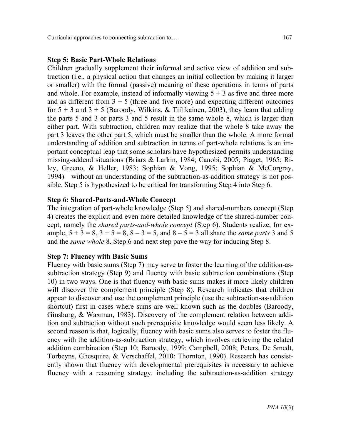Curricular approaches to connecting subtraction to… 167

#### **Step 5: Basic Part-Whole Relations**

Children gradually supplement their informal and active view of addition and subtraction (i.e., a physical action that changes an initial collection by making it larger or smaller) with the formal (passive) meaning of these operations in terms of parts and whole. For example, instead of informally viewing  $5 + 3$  as five and three more and as different from  $3 + 5$  (three and five more) and expecting different outcomes for  $5 + 3$  and  $3 + 5$  (Baroody, Wilkins, & Tiilikainen, 2003), they learn that adding the parts 5 and 3 or parts 3 and 5 result in the same whole 8, which is larger than either part. With subtraction, children may realize that the whole 8 take away the part 3 leaves the other part 5, which must be smaller than the whole. A more formal understanding of addition and subtraction in terms of part-whole relations is an important conceptual leap that some scholars have hypothesized permits understanding missing-addend situations (Briars & Larkin, 1984; Canobi, 2005; Piaget, 1965; Riley, Greeno, & Heller, 1983; Sophian & Vong, 1995; Sophian & McCorgray, 1994)—without an understanding of the subtraction-as-addition strategy is not possible. Step 5 is hypothesized to be critical for transforming Step 4 into Step 6.

#### **Step 6: Shared-Parts-and-Whole Concept**

The integration of part-whole knowledge (Step 5) and shared-numbers concept (Step 4) creates the explicit and even more detailed knowledge of the shared-number concept, namely the *shared parts-and-whole concept* (Step 6). Students realize, for example,  $5 + 3 = 8$ ,  $3 + 5 = 8$ ,  $8 - 3 = 5$ , and  $8 - 5 = 3$  all share the *same parts* 3 and 5 and the *same whole* 8. Step 6 and next step pave the way for inducing Step 8.

#### **Step 7: Fluency with Basic Sums**

Fluency with basic sums (Step 7) may serve to foster the learning of the addition-assubtraction strategy (Step 9) and fluency with basic subtraction combinations (Step 10) in two ways. One is that fluency with basic sums makes it more likely children will discover the complement principle (Step 8). Research indicates that children appear to discover and use the complement principle (use the subtraction-as-addition shortcut) first in cases where sums are well known such as the doubles (Baroody, Ginsburg, & Waxman, 1983). Discovery of the complement relation between addition and subtraction without such prerequisite knowledge would seem less likely. A second reason is that, logically, fluency with basic sums also serves to foster the fluency with the addition-as-subtraction strategy, which involves retrieving the related addition combination (Step 10; Baroody, 1999; Campbell, 2008; Peters, De Smedt, Torbeyns, Ghesquire, & Verschaffel, 2010; Thornton, 1990). Research has consistently shown that fluency with developmental prerequisites is necessary to achieve fluency with a reasoning strategy, including the subtraction-as-addition strategy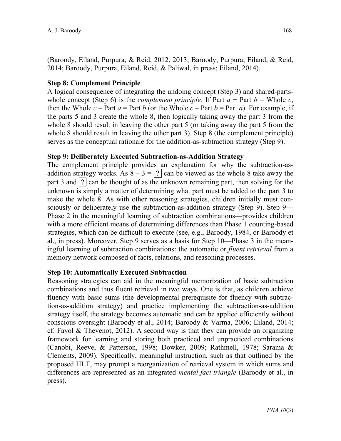(Baroody, Eiland, Purpura, & Reid, 2012, 2013; Baroody, Purpura, Eiland, & Reid, 2014; Baroody, Purpura, Eiland, Reid, & Paliwal, in press; Eiland, 2014).

#### **Step 8: Complement Principle**

A logical consequence of integrating the undoing concept (Step 3) and shared-partswhole concept (Step 6) is the *complement principle*: If Part  $a +$  Part  $b =$  Whole  $c$ , then the Whole  $c -$  Part  $a =$  Part  $b$  (or the Whole  $c -$  Part  $b =$  Part  $a$ ). For example, if the parts 5 and 3 create the whole 8, then logically taking away the part 3 from the whole 8 should result in leaving the other part 5 (or taking away the part 5 from the whole 8 should result in leaving the other part 3). Step 8 (the complement principle) serves as the conceptual rationale for the addition-as-subtraction strategy (Step 9).

#### **Step 9: Deliberately Executed Subtraction-as-Addition Strategy**

The complement principle provides an explanation for why the subtraction-asaddition strategy works. As  $8 - 3 = 7$  can be viewed as the whole 8 take away the part 3 and  $\boxed{?}$  can be thought of as the unknown remaining part, then solving for the unknown is simply a matter of determining what part must be added to the part 3 to make the whole 8. As with other reasoning strategies, children initially must consciously or deliberately use the subtraction-as-addition strategy (Step 9). Step 9— Phase 2 in the meaningful learning of subtraction combinations—provides children with a more efficient means of determining differences than Phase 1 counting-based strategies, which can be difficult to execute (see, e.g., Baroody, 1984, or Baroody et al., in press). Moreover, Step 9 serves as a basis for Step 10—Phase 3 in the meaningful learning of subtraction combinations: the automatic or *fluent retrieval* from a memory network composed of facts, relations, and reasoning processes.

#### **Step 10: Automatically Executed Subtraction**

Reasoning strategies can aid in the meaningful memorization of basic subtraction combinations and thus fluent retrieval in two ways. One is that, as children achieve fluency with basic sums (the developmental prerequisite for fluency with subtraction-as-addition strategy) and practice implementing the subtraction-as-addition strategy itself, the strategy becomes automatic and can be applied efficiently without conscious oversight (Baroody et al., 2014; Baroody & Varma, 2006; Eiland, 2014; cf. Fayol & Thevenot, 2012). A second way is that they can provide an organizing framework for learning and storing both practiced and unpracticed combinations (Canobi, Reeve, & Patterson, 1998; Dowker, 2009; Rathmell, 1978; Sarama & Clements, 2009). Specifically, meaningful instruction, such as that outlined by the proposed HLT, may prompt a reorganization of retrieval system in which sums and differences are represented as an integrated *mental fact triangle* (Baroody et al., in press).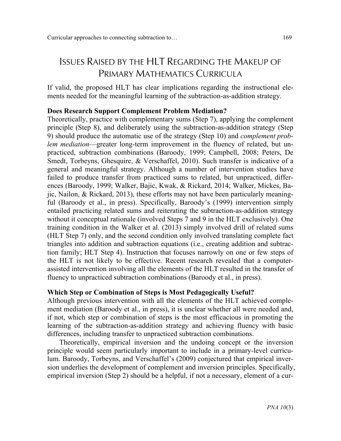# ISSUES RAISED BY THE HLT REGARDING THE MAKEUP OF PRIMARY MATHEMATICS CURRICULA

If valid, the proposed HLT has clear implications regarding the instructional elements needed for the meaningful learning of the subtraction-as-addition strategy.

#### **Does Research Support Complement Problem Mediation?**

Theoretically, practice with complementary sums (Step 7), applying the complement principle (Step 8), and deliberately using the subtraction-as-addition strategy (Step 9) should produce the automatic use of the strategy (Step 10) and *complement problem mediation*—greater long-term improvement in the fluency of related, but unpracticed, subtraction combinations (Baroody, 1999; Campbell, 2008; Peters, De Smedt, Torbeyns, Ghesquire, & Verschaffel, 2010). Such transfer is indicative of a general and meaningful strategy. Although a number of intervention studies have failed to produce transfer from practiced sums to related, but unpracticed, differences (Baroody, 1999; Walker, Bajic, Kwak, & Rickard, 2014; Walker, Mickes, Bajic, Nailon, & Rickard, 2013), these efforts may not have been particularly meaningful (Baroody et al., in press). Specifically, Baroody's (1999) intervention simply entailed practicing related sums and reiterating the subtraction-as-addition strategy without it conceptual rationale (involved Steps 7 and 9 in the HLT exclusively). One training condition in the Walker et al. (2013) simply involved drill of related sums (HLT Step 7) only, and the second condition only involved translating complete fact triangles into addition and subtraction equations (i.e., creating addition and subtraction family; HLT Step 4). Instruction that focuses narrowly on one or few steps of the HLT is not likely to be effective. Recent research revealed that a computerassisted intervention involving all the elements of the HLT resulted in the transfer of fluency to unpracticed subtraction combinations (Baroody et al., in press).

#### **Which Step or Combination of Steps is Most Pedagogically Useful?**

Although previous intervention with all the elements of the HLT achieved complement mediation (Baroody et al., in press), it is unclear whether all were needed and, if not, which step or combination of steps is the most efficacious in promoting the learning of the subtraction-as-addition strategy and achieving fluency with basic differences, including transfer to unpracticed subtraction combinations.

Theoretically, empirical inversion and the undoing concept or the inversion principle would seem particularly important to include in a primary-level curriculum. Baroody, Torbeyns, and Verschaffel's (2009) conjectured that empirical inversion underlies the development of complement and inversion principles. Specifically, empirical inversion (Step 2) should be a helpful, if not a necessary, element of a cur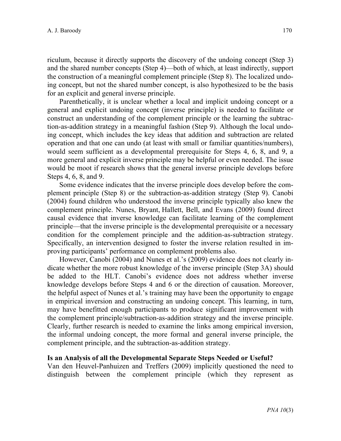riculum, because it directly supports the discovery of the undoing concept (Step 3) and the shared number concepts (Step 4)—both of which, at least indirectly, support the construction of a meaningful complement principle (Step 8). The localized undoing concept, but not the shared number concept, is also hypothesized to be the basis for an explicit and general inverse principle.

Parenthetically, it is unclear whether a local and implicit undoing concept or a general and explicit undoing concept (inverse principle) is needed to facilitate or construct an understanding of the complement principle or the learning the subtraction-as-addition strategy in a meaningful fashion (Step 9). Although the local undoing concept, which includes the key ideas that addition and subtraction are related operation and that one can undo (at least with small or familiar quantities/numbers), would seem sufficient as a developmental prerequisite for Steps 4, 6, 8, and 9, a more general and explicit inverse principle may be helpful or even needed. The issue would be moot if research shows that the general inverse principle develops before Steps 4, 6, 8, and 9.

Some evidence indicates that the inverse principle does develop before the complement principle (Step 8) or the subtraction-as-addition strategy (Step 9). Canobi (2004) found children who understood the inverse principle typically also knew the complement principle. Nunes, Bryant, Hallett, Bell, and Evans (2009) found direct causal evidence that inverse knowledge can facilitate learning of the complement principle—that the inverse principle is the developmental prerequisite or a necessary condition for the complement principle and the addition-as-subtraction strategy. Specifically, an intervention designed to foster the inverse relation resulted in improving participants' performance on complement problems also.

However, Canobi (2004) and Nunes et al.'s (2009) evidence does not clearly indicate whether the more robust knowledge of the inverse principle (Step 3A) should be added to the HLT. Canobi's evidence does not address whether inverse knowledge develops before Steps 4 and 6 or the direction of causation. Moreover, the helpful aspect of Nunes et al.'s training may have been the opportunity to engage in empirical inversion and constructing an undoing concept. This learning, in turn, may have benefitted enough participants to produce significant improvement with the complement principle/subtraction-as-addition strategy and the inverse principle. Clearly, further research is needed to examine the links among empirical inversion, the informal undoing concept, the more formal and general inverse principle, the complement principle, and the subtraction-as-addition strategy.

#### **Is an Analysis of all the Developmental Separate Steps Needed or Useful?**

Van den Heuvel-Panhuizen and Treffers (2009) implicitly questioned the need to distinguish between the complement principle (which they represent as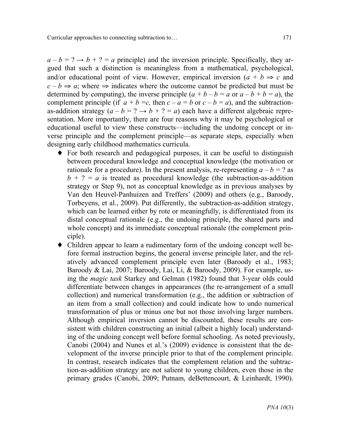$a - b = ? \rightarrow b + ? = a$  principle) and the inversion principle. Specifically, they argued that such a distinction is meaningless from a mathematical, psychological, and/or educational point of view. However, empirical inversion  $(a + b \Rightarrow c$  and  $c - b \Rightarrow a$ ; where  $\Rightarrow$  indicates where the outcome cannot be predicted but must be determined by computing), the inverse principle  $(a + b - b = a \text{ or } a - b + b = a)$ , the complement principle (if  $a + b = c$ , then  $c - a = b$  or  $c - b = a$ ), and the subtractionas-addition strategy  $(a - b = ? \rightarrow b + ? = a)$  each have a different algebraic representation. More importantly, there are four reasons why it may be psychological or educational useful to view these constructs—including the undoing concept or inverse principle and the complement principle—as separate steps, especially when designing early childhood mathematics curricula.

- ♦ For both research and pedagogical purposes, it can be useful to distinguish between procedural knowledge and conceptual knowledge (the motivation or rationale for a procedure). In the present analysis, re-representing  $a - b = ?$  as  $b + ? = a$  is treated as procedural knowledge (the subtraction-as-addition strategy or Step 9), not as conceptual knowledge as in previous analyses by Van den Heuvel-Panhuizen and Treffers' (2009) and others (e.g., Baroody, Torbeyens, et al., 2009). Put differently, the subtraction-as-addition strategy, which can be learned either by rote or meaningfully, is differentiated from its distal conceptual rationale (e.g., the undoing principle, the shared parts and whole concept) and its immediate conceptual rationale (the complement principle).
- ♦ Children appear to learn a rudimentary form of the undoing concept well before formal instruction begins, the general inverse principle later, and the relatively advanced complement principle even later (Baroody et al., 1983; Baroody & Lai, 2007; Baroody, Lai, Li, & Baroody, 2009). For example, using the *magic task* Starkey and Gelman (1982) found that 3-year olds could differentiate between changes in appearances (the re-arrangement of a small collection) and numerical transformation (e.g., the addition or subtraction of an item from a small collection) and could indicate how to undo numerical transformation of plus or minus one but not those involving larger numbers. Although empirical inversion cannot be discounted, these results are consistent with children constructing an initial (albeit a highly local) understanding of the undoing concept well before formal schooling. As noted previously, Canobi (2004) and Nunes et al.'s (2009) evidence is consistent that the development of the inverse principle prior to that of the complement principle. In contrast, research indicates that the complement relation and the subtraction-as-addition strategy are not salient to young children, even those in the primary grades (Canobi, 2009; Putnam, deBettencourt, & Leinhardt, 1990).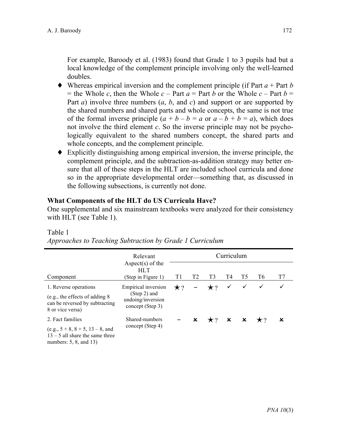For example, Baroody et al. (1983) found that Grade 1 to 3 pupils had but a local knowledge of the complement principle involving only the well-learned doubles.

- ♦ Whereas empirical inversion and the complement principle (if Part *a* + Part *b*   $=$  the Whole *c*, then the Whole *c* – Part *a* = Part *b* or the Whole *c* – Part *b* = Part *a*) involve three numbers (*a*, *b*, and *c*) and support or are supported by the shared numbers and shared parts and whole concepts, the same is not true of the formal inverse principle  $(a + b - b = a \text{ or } a - b + b = a)$ , which does not involve the third element *c*. So the inverse principle may not be psychologically equivalent to the shared numbers concept, the shared parts and whole concepts, and the complement principle.
- ♦ Explicitly distinguishing among empirical inversion, the inverse principle, the complement principle, and the subtraction-as-addition strategy may better ensure that all of these steps in the HLT are included school curricula and done so in the appropriate developmental order—something that, as discussed in the following subsections, is currently not done.

#### **What Components of the HLT do US Curricula Have?**

One supplemental and six mainstream textbooks were analyzed for their consistency with HLT (see Table 1).

|                                                                                                              | Relevant                                                |           | Curriculum     |           |              |                |    |    |  |  |
|--------------------------------------------------------------------------------------------------------------|---------------------------------------------------------|-----------|----------------|-----------|--------------|----------------|----|----|--|--|
| Component                                                                                                    | Aspect(s) of the<br><b>HLT</b><br>(Step in Figure 1)    | T1        | T <sub>2</sub> | T3        | T4           | T <sub>5</sub> | T6 | T7 |  |  |
| 1. Reverse operations                                                                                        | Empirical inversion                                     | $\star$ ? |                | $\star$ ? | ✓            | $\checkmark$   |    | ✓  |  |  |
| (e.g., the effects of adding 8)<br>can be reversed by subtracting<br>8 or vice versa)                        | $(Step 2)$ and<br>undoing/inversion<br>concept (Step 3) |           |                |           |              |                |    |    |  |  |
| 2. Fact families                                                                                             | Shared-numbers                                          |           |                | $\star$ ? | $\mathbf{x}$ | $\mathbf{x}$   |    |    |  |  |
| (e.g., $5 + 8$ , $8 + 5$ , $13 - 8$ , and<br>$13 - 5$ all share the same three<br>numbers: $5, 8,$ and $13)$ | concept (Step 4)                                        |           |                |           |              |                |    |    |  |  |

#### Table 1

| Approaches to Teaching Subtraction by Grade 1 Curriculum |  |  |  |  |  |
|----------------------------------------------------------|--|--|--|--|--|
|----------------------------------------------------------|--|--|--|--|--|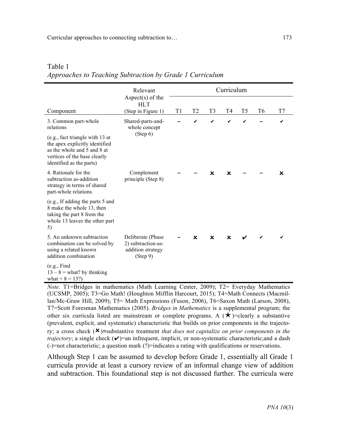|                                                                                                                                                              | Relevant                                                                 | Curriculum |                |                |                |                |                |    |  |
|--------------------------------------------------------------------------------------------------------------------------------------------------------------|--------------------------------------------------------------------------|------------|----------------|----------------|----------------|----------------|----------------|----|--|
| Component                                                                                                                                                    | Aspect $(s)$ of the<br><b>HLT</b><br>(Step in Figure 1)                  | T1         | T <sub>2</sub> | T <sub>3</sub> | T <sub>4</sub> | T <sub>5</sub> | T <sub>6</sub> | T7 |  |
| 3. Common part-whole<br>relations                                                                                                                            | Shared-parts-and-<br>whole concept                                       |            | ✔              |                | ✔              | ✔              |                | ✔  |  |
| (e.g., fact triangle with 13 at<br>the apex explicitly identified<br>as the whole and 5 and 8 at<br>vertices of the base clearly<br>identified as the parts) | (Step 6)                                                                 |            |                |                |                |                |                |    |  |
| 4. Rationale for the<br>subtraction as-addition<br>strategy in terms of shared<br>part-whole relations                                                       | Complement<br>principle (Step 8)                                         |            |                | x              | $\mathbf x$    |                |                | x  |  |
| (e.g., If adding the parts 5 and<br>8 make the whole 13, then<br>taking the part 8 from the<br>whole 13 leaves the other part<br>5)                          |                                                                          |            |                |                |                |                |                |    |  |
| 5. An unknown subtraction<br>combination can be solved by<br>using a related known<br>addition combination                                                   | Deliberate (Phase<br>2) subtraction-as-<br>addition strategy<br>(Step 9) |            | ×              | $\mathbf x$    | $\mathbf x$    |                |                |    |  |
| (e.g., Find<br>$13 - 8 =$ what? by thinking<br>what $+ 8 = 13$ ?                                                                                             |                                                                          |            |                |                |                |                |                |    |  |

Table 1 *Approaches to Teaching Subtraction by Grade 1 Curriculum*

*Note.* T1=Bridges in mathematics (Math Learning Center, 2009); T2= Everyday Mathematics (UCSMP, 2005); T3=Go Math! (Houghton Mifflin Harcourt, 2015); T4=Math Connects (Macmillan/Mc-Graw Hill, 2009); T5= Math Expressions (Fuson, 2006), T6=Saxon Math (Larson, 2008), T7=Scott Foresman Mathematics (2005). *Bridges in Mathematics* is a supplemental program; the other six curricula listed are mainstream or complete programs. A  $(\star)$ =clearly a substantive (prevalent, explicit, and systematic) characteristic that builds on prior components in the trajectory; a cross check  $(X)$ =substantive treatment *that does not capitalize on prior components in the trajectory*; a single check  $(V)$ =an infrequent, implicit, or non-systematic characteristic; and a dash (-)=not characteristic; a question mark (?)=indicates a rating with qualifications or reservations.

Although Step 1 can be assumed to develop before Grade 1, essentially all Grade 1 curricula provide at least a cursory review of an informal change view of addition and subtraction. This foundational step is not discussed further. The curricula were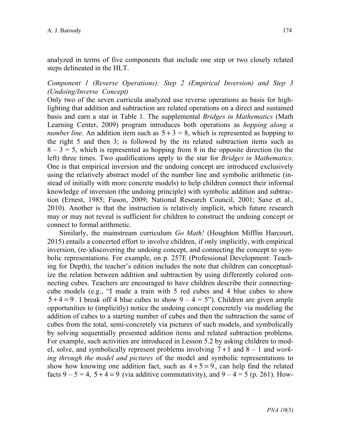analyzed in terms of five components that include one step or two closely related steps delineated in the HLT.

#### *Component 1 (Reverse Operations): Step 2 (Empirical Inversion) and Step 3 (Undoing/Inverse Concept)*

Only two of the seven curricula analyzed use reverse operations as basis for highlighting that addition and subtraction are related operations on a direct and sustained basis and earn a star in Table 1. The supplemental *Bridges in Mathematics* (Math Learning Center, 2009) program introduces both operations as *hopping along a number line*. An addition item such as  $5 + 3 = 8$ , which is represented as hopping to the right 5 and then 3; is followed by the its related subtraction items such as  $8 - 3 = 5$ , which is represented as hopping from 8 in the opposite direction (to the left) three times. Two qualifications apply to the star for *Bridges in Mathematics*. One is that empirical inversion and the undoing concept are introduced exclusively using the relatively abstract model of the number line and symbolic arithmetic (instead of initially with more concrete models) to help children connect their informal knowledge of inversion (the undoing principle) with symbolic addition and subtraction (Ernest, 1985; Fuson, 2009; National Research Council, 2001; Saxe et al., 2010). Another is that the instruction is relatively implicit, which future research may or may not reveal is sufficient for children to construct the undoing concept or connect to formal arithmetic.

Similarly, the mainstream curriculum *Go Math!* (Houghton Mifflin Harcourt, 2015) entails a concerted effort to involve children, if only implicitly, with empirical inversion, (re-)discovering the undoing concept, and connecting the concept to symbolic representations. For example, on p. 257E (Professional Development: Teaching for Depth), the teacher's edition includes the note that children can conceptualize the relation between addition and subtraction by using differently colored connecting cubes. Teachers are encouraged to have children describe their connectingcube models (e.g., "I made a train with 5 red cubes and 4 blue cubes to show  $5 + 4 = 9$ . I break off 4 blue cubes to show  $9 - 4 = 5$ "). Children are given ample opportunities to (implicitly) notice the undoing concept concretely via modeling the addition of cubes to a starting number of cubes and then the subtraction the same of cubes from the total, semi-concretely via pictures of such models, and symbolically by solving sequentially presented addition items and related subtraction problems. For example, such activities are introduced in Lesson 5.2 by asking children to model, solve, and symbolically represent problems involving  $7+1$  and  $8-1$  and *working through the model and pictures* of the model and symbolic representations to show how knowing one addition fact, such as  $4 + 5 = 9$ , can help find the related facts  $9 - 5 = 4$ ,  $5 + 4 = 9$  (via additive commutativity), and  $9 - 4 = 5$  (p. 261). How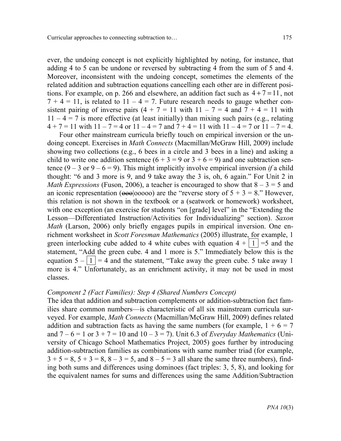ever, the undoing concept is not explicitly highlighted by noting, for instance, that adding 4 to 5 can be undone or reversed by subtracting 4 from the sum of 5 and 4. Moreover, inconsistent with the undoing concept, sometimes the elements of the related addition and subtraction equations cancelling each other are in different positions. For example, on p. 266 and elsewhere, an addition fact such as  $4 + 7 = 11$ , not  $7 + 4 = 11$ , is related to  $11 - 4 = 7$ . Future research needs to gauge whether consistent pairing of inverse pairs  $(4 + 7 = 11 \text{ with } 11 - 7 = 4 \text{ and } 7 + 4 = 11 \text{ with }$  $11 - 4 = 7$  is more effective (at least initially) than mixing such pairs (e.g., relating  $4 + 7 = 11$  with  $11 - 7 = 4$  or  $11 - 4 = 7$  and  $7 + 4 = 11$  with  $11 - 4 = 7$  or  $11 - 7 = 4$ .

Four other mainstream curricula briefly touch on empirical inversion or the undoing concept. Exercises in *Math Connects* (Macmillan/McGraw Hill, 2009) include showing two collections (e.g., 6 bees in a circle and 3 bees in a line) and asking a child to write one addition sentence  $(6 + 3 = 9)$  or  $(3 + 6 = 9)$  and one subtraction sentence  $(9 - 3 \text{ or } 9 - 6 = 9)$ . This might implicitly involve empirical inversion *if* a child thought: "6 and 3 more is 9, and 9 take away the 3 is, oh, 6 again." For Unit 2 in *Math Expressions* (Fuson, 2006), a teacher is encouraged to show that  $8 - 3 = 5$  and an iconic representation ( $\theta \theta \theta$ |ooooo) are the "reverse story of  $5 + 3 = 8$ ." However, this relation is not shown in the textbook or a (seatwork or homework) worksheet, with one exception (an exercise for students "on [grade] level" in the "Extending the Lesson—Differentiated Instruction/Activities for Individualizing" section). *Saxon Math* (Larson, 2006) only briefly engages pupils in empirical inversion. One enrichment worksheet in *Scott Foresman Mathematics* (2005) illustrate, for example, 1 green interlocking cube added to 4 white cubes with equation  $4 + |1| = 5$  and the statement, "Add the green cube. 4 and 1 more is 5." Immediately below this is the equation  $5 - 1 = 4$  and the statement, "Take away the green cube. 5 take away 1 more is 4." Unfortunately, as an enrichment activity, it may not be used in most classes.

#### *Component 2 (Fact Families): Step 4 (Shared Numbers Concept)*

The idea that addition and subtraction complements or addition-subtraction fact families share common numbers—is characteristic of all six mainstream curricula surveyed. For example, *Math Connects* (Macmillan/McGraw Hill, 2009) defines related addition and subtraction facts as having the same numbers (for example,  $1 + 6 = 7$ ) and  $7 - 6 = 1$  or  $3 + 7 = 10$  and  $10 - 3 = 7$ ). Unit 6.3 of *Everyday Mathematics* (University of Chicago School Mathematics Project, 2005) goes further by introducing addition-subtraction families as combinations with same number triad (for example,  $3 + 5 = 8$ ,  $5 + 3 = 8$ ,  $8 - 3 = 5$ , and  $8 - 5 = 3$  all share the same three numbers), finding both sums and differences using dominoes (fact triples: 3, 5, 8), and looking for the equivalent names for sums and differences using the same Addition/Subtraction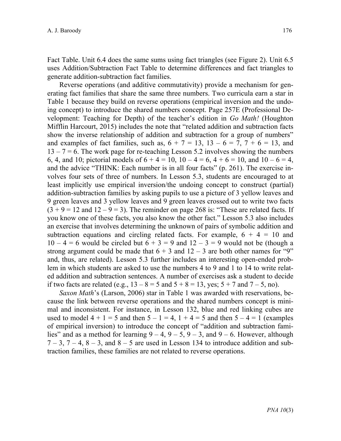Fact Table. Unit 6.4 does the same sums using fact triangles (see Figure 2). Unit 6.5 uses Addition/Subtraction Fact Table to determine differences and fact triangles to generate addition-subtraction fact families.

Reverse operations (and additive commutativity) provide a mechanism for generating fact families that share the same three numbers. Two curricula earn a star in Table 1 because they build on reverse operations (empirical inversion and the undoing concept) to introduce the shared numbers concept. Page 257E (Professional Development: Teaching for Depth) of the teacher's edition in *Go Math!* (Houghton Mifflin Harcourt, 2015) includes the note that "related addition and subtraction facts show the inverse relationship of addition and subtraction for a group of numbers" and examples of fact families, such as,  $6 + 7 = 13$ ,  $13 - 6 = 7$ ,  $7 + 6 = 13$ , and  $13 - 7 = 6$ . The work page for re-teaching Lesson 5.2 involves showing the numbers 6, 4, and 10; pictorial models of  $6 + 4 = 10$ ,  $10 - 4 = 6$ ,  $4 + 6 = 10$ , and  $10 - 6 = 4$ , and the advice "THINK: Each number is in all four facts" (p. 261). The exercise involves four sets of three of numbers. In Lesson 5.3, students are encouraged to at least implicitly use empirical inversion/the undoing concept to construct (partial) addition-subtraction families by asking pupils to use a picture of 3 yellow leaves and 9 green leaves and 3 yellow leaves and 9 green leaves crossed out to write two facts  $(3 + 9 = 12$  and  $12 - 9 = 3$ ). The reminder on page 268 is: "These are related facts. If you know one of these facts, you also know the other fact." Lesson 5.3 also includes an exercise that involves determining the unknown of pairs of symbolic addition and subtraction equations and circling related facts. For example,  $6 + 4 = 10$  and  $10 - 4 = 6$  would be circled but  $6 + 3 = 9$  and  $12 - 3 = 9$  would not be (though a strong argument could be made that  $6 + 3$  and  $12 - 3$  are both other names for "9" and, thus, are related). Lesson 5.3 further includes an interesting open-ended problem in which students are asked to use the numbers 4 to 9 and 1 to 14 to write related addition and subtraction sentences. A number of exercises ask a student to decide if two facts are related (e.g.,  $13 - 8 = 5$  and  $5 + 8 = 13$ , yes;  $5 + 7$  and  $7 - 5$ , no).

*Saxon Math*'s (Larson, 2006) star in Table 1 was awarded with reservations, because the link between reverse operations and the shared numbers concept is minimal and inconsistent. For instance, in Lesson 132, blue and red linking cubes are used to model  $4 + 1 = 5$  and then  $5 - 1 = 4$ ,  $1 + 4 = 5$  and then  $5 - 4 = 1$  (examples of empirical inversion) to introduce the concept of "addition and subtraction families" and as a method for learning  $9 - 4$ ,  $9 - 5$ ,  $9 - 3$ , and  $9 - 6$ . However, although  $7 - 3$ ,  $7 - 4$ ,  $8 - 3$ , and  $8 - 5$  are used in Lesson 134 to introduce addition and subtraction families, these families are not related to reverse operations.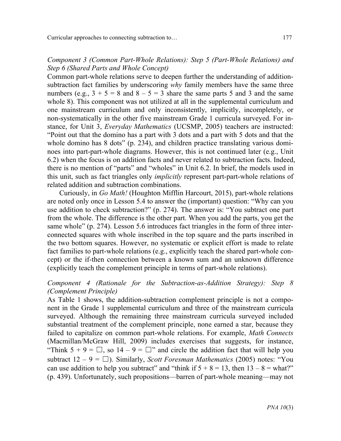Common part-whole relations serve to deepen further the understanding of additionsubtraction fact families by underscoring *why* family members have the same three numbers (e.g.,  $3 + 5 = 8$  and  $8 - 5 = 3$  share the same parts 5 and 3 and the same whole 8). This component was not utilized at all in the supplemental curriculum and one mainstream curriculum and only inconsistently, implicitly, incompletely, or non-systematically in the other five mainstream Grade 1 curricula surveyed. For instance, for Unit 3, *Everyday Mathematics* (UCSMP, 2005) teachers are instructed: "Point out that the domino has a part with 3 dots and a part with 5 dots and that the whole domino has 8 dots" (p. 234), and children practice translating various dominoes into part-part-whole diagrams. However, this is not continued later (e.g., Unit 6.2) when the focus is on addition facts and never related to subtraction facts. Indeed, there is no mention of "parts" and "wholes" in Unit 6.2. In brief, the models used in this unit, such as fact triangles only *implicitly* represent part-part-whole relations of related addition and subtraction combinations.

Curiously, in *Go Math!* (Houghton Mifflin Harcourt, 2015), part-whole relations are noted only once in Lesson 5.4 to answer the (important) question: "Why can you use addition to check subtraction?" (p. 274). The answer is: "You subtract one part from the whole. The difference is the other part. When you add the parts, you get the same whole" (p. 274). Lesson 5.6 introduces fact triangles in the form of three interconnected squares with whole inscribed in the top square and the parts inscribed in the two bottom squares. However, no systematic or explicit effort is made to relate fact families to part-whole relations (e.g., explicitly teach the shared part-whole concept) or the if-then connection between a known sum and an unknown difference (explicitly teach the complement principle in terms of part-whole relations).

#### *Component 4 (Rationale for the Subtraction-as-Addition Strategy): Step 8 (Complement Principle)*

As Table 1 shows, the addition-subtraction complement principle is not a component in the Grade 1 supplemental curriculum and three of the mainstream curricula surveyed. Although the remaining three mainstream curricula surveyed included substantial treatment of the complement principle, none earned a star, because they failed to capitalize on common part-whole relations. For example, *Math Connects* (Macmillan/McGraw Hill, 2009) includes exercises that suggests, for instance, "Think  $5 + 9 = \Box$ , so  $14 - 9 = \Box$ " and circle the addition fact that will help you subtract  $12 - 9 = \Box$ ). Similarly, *Scott Foresman Mathematics* (2005) notes: "You can use addition to help you subtract" and "think if  $5 + 8 = 13$ , then  $13 - 8 =$  what?" (p. 439). Unfortunately, such propositions—barren of part-whole meaning—may not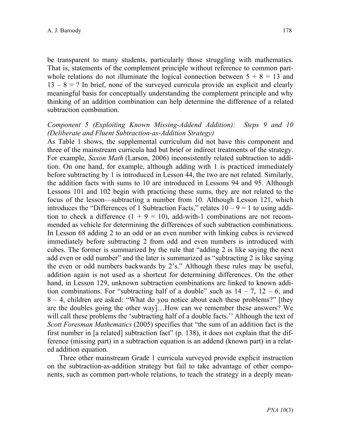be transparent to many students, particularly those struggling with mathematics. That is, statements of the complement principle without reference to common partwhole relations do not illuminate the logical connection between  $5 + 8 = 13$  and  $13 - 8 = ?$  In brief, none of the surveyed curricula provide an explicit and clearly meaningful basis for conceptually understanding the complement principle and why thinking of an addition combination can help determine the difference of a related subtraction combination.

#### *Component 5 (Exploiting Known Missing-Addend Addition): Steps 9 and 10 (Deliberate and Fluent Subtraction-as-Addition Strategy)*

As Table 1 shows, the supplemental curriculum did not have this component and three of the mainstream curricula had but brief or indirect treatments of the strategy. For example, *Saxon Math* (Larson, 2006) inconsistently related subtraction to addition. On one hand, for example, although adding with 1 is practiced immediately before subtracting by 1 is introduced in Lesson 44, the two are not related. Similarly, the addition facts with sums to 10 are introduced in Lessons 94 and 95. Although Lessons 101 and 102 begin with practicing these sums, they are not related to the focus of the lesson—subtracting a number from 10. Although Lesson 121, which introduces the "Differences of 1 Subtraction Facts," relates  $10 - 9 = 1$  to using addition to check a difference  $(1 + 9 = 10)$ , add-with-1 combinations are not recommended as vehicle for determining the differences of such subtraction combinations. In Lesson 68 adding 2 to an odd or an even number with linking cubes is reviewed immediately before subtracting 2 from odd and even numbers is introduced with cubes. The former is summarized by the rule that "adding 2 is like saying the next add even or odd number" and the later is summarized as "subtracting 2 is like saying the even or odd numbers backwards by 2's." Although these rules may be useful, addition again is not used as a shortcut for determining differences. On the other hand, in Lesson 129, unknown subtraction combinations are linked to known addition combinations. For "subtracting half of a double" such as  $14 - 7$ ,  $12 - 6$ , and 8 – 4, children are asked: "What do you notice about each these problems?" [they are the doubles going the other way]…How can we remember these answers? We will call these problems the 'subtracting half of a double facts.'' Although the text of *Scott Foresman Mathematics* (2005) specifies that "the sum of an addition fact is the first number in [a related] subtraction fact" (p. 138), it does not explain that the difference (missing part) in a subtraction equation is an addend (known part) in a related addition equation.

Three other mainstream Grade 1 curricula surveyed provide explicit instruction on the subtraction-as-addition strategy but fail to take advantage of other components, such as common part-whole relations, to teach the strategy in a deeply mean-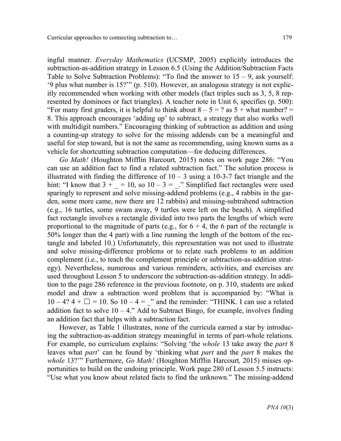ingful manner. *Everyday Mathematics* (UCSMP, 2005) explicitly introduces the subtraction-as-addition strategy in Lesson 6.5 (Using the Addition/Subtraction Facts Table to Solve Subtraction Problems): "To find the answer to  $15 - 9$ , ask yourself: '9 plus what number is 15?'" (p. 510). However, an analogous strategy is not explicitly recommended when working with other models (fact triples such as 3, 5, 8 represented by dominoes or fact triangles). A teacher note in Unit 6, specifies (p. 500): "For many first graders, it is helpful to think about  $8 - 5 = ?$  as  $5 +$  what number? = 8. This approach encourages 'adding up' to subtract, a strategy that also works well with multidigit numbers." Encouraging thinking of subtraction as addition and using a counting-up strategy to solve for the missing addends can be a meaningful and useful for step toward, but is not the same as recommending, using known sums as a vehicle for shortcutting subtraction computation—for deducing differences.

*Go Math!* (Houghton Mifflin Harcourt*,* 2015) notes on work page 286: "You can use an addition fact to find a related subtraction fact." The solution process is illustrated with finding the difference of  $10 - 3$  using a 10-3-7 fact triangle and the hint: "I know that  $3 + \square = 10$ , so  $10 - 3 = \square$ ." Simplified fact rectangles were used sparingly to represent and solve missing-addend problems (e.g., 4 rabbits in the garden, some more came, now there are 12 rabbits) and missing-subtrahend subtraction (e.g., 16 turtles, some swam away, 9 turtles were left on the beach). A simplified fact rectangle involves a rectangle divided into two parts the lengths of which were proportional to the magnitude of parts (e.g., for  $6 + 4$ , the 6 part of the rectangle is 50% longer than the 4 part) with a line running the length of the bottom of the rectangle and labeled 10.) Unfortunately, this representation was not used to illustrate and solve missing-difference problems or to relate such problems to an addition complement (i.e., to teach the complement principle or subtraction-as-addition strategy). Nevertheless, numerous and various reminders, activities, and exercises are used throughout Lesson 5 to underscore the subtraction-as-addition strategy. In addition to the page 286 reference in the previous footnote, on p. 310, students are asked model and draw a subtraction word problem that is accompanied by: "What is  $10 - 4$ ?  $4 + \Box = 10$ . So  $10 - 4 = \degree$  and the reminder: "THINK. I can use a related addition fact to solve  $10 - 4$ ." Add to Subtract Bingo, for example, involves finding an addition fact that helps with a subtraction fact.

However, as Table 1 illustrates, none of the curricula earned a star by introducing the subtraction-as-addition strategy meaningful in terms of part-whole relations. For example, no curriculum explains: "Solving 'the *whole* 13 take away the *part* 8 leaves what *part*' can be found by 'thinking what *part* and the *part* 8 makes the *whole* 13?'" Furthermore, *Go Math!* (Houghton Mifflin Harcourt*,* 2015) misses opportunities to build on the undoing principle. Work page 280 of Lesson 5.5 instructs: "Use what you know about related facts to find the unknown." The missing-addend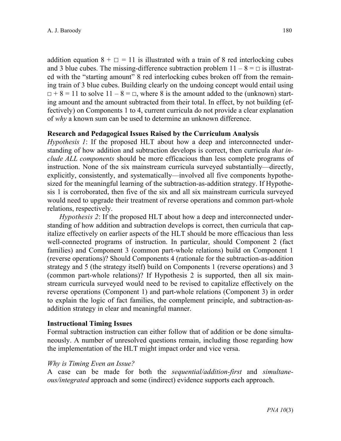addition equation  $8 + \square = 11$  is illustrated with a train of 8 red interlocking cubes and 3 blue cubes. The missing-difference subtraction problem  $11 - 8 = \square$  is illustrated with the "starting amount" 8 red interlocking cubes broken off from the remaining train of 3 blue cubes. Building clearly on the undoing concept would entail using  $\Box$  + 8 = 11 to solve 11 – 8 =  $\Box$ , where 8 is the amount added to the (unknown) starting amount and the amount subtracted from their total. In effect, by not building (effectively) on Components 1 to 4, current curricula do not provide a clear explanation of *why* a known sum can be used to determine an unknown difference.

#### **Research and Pedagogical Issues Raised by the Curriculum Analysis**

*Hypothesis 1*: If the proposed HLT about how a deep and interconnected understanding of how addition and subtraction develops is correct, then curricula *that include ALL components* should be more efficacious than less complete programs of instruction. None of the six mainstream curricula surveyed substantially—directly, explicitly, consistently, and systematically—involved all five components hypothesized for the meaningful learning of the subtraction-as-addition strategy. If Hypothesis 1 is corroborated, then five of the six and all six mainstream curricula surveyed would need to upgrade their treatment of reverse operations and common part-whole relations, respectively.

*Hypothesis 2*: If the proposed HLT about how a deep and interconnected understanding of how addition and subtraction develops is correct, then curricula that capitalize effectively on earlier aspects of the HLT should be more efficacious than less well-connected programs of instruction. In particular, should Component 2 (fact families) and Component 3 (common part-whole relations) build on Component 1 (reverse operations)? Should Components 4 (rationale for the subtraction-as-addition strategy and 5 (the strategy itself) build on Components 1 (reverse operations) and 3 (common part-whole relations)? If Hypothesis 2 is supported, then all six mainstream curricula surveyed would need to be revised to capitalize effectively on the reverse operations (Component 1) and part-whole relations (Component 3) in order to explain the logic of fact families, the complement principle, and subtraction-asaddition strategy in clear and meaningful manner.

#### **Instructional Timing Issues**

Formal subtraction instruction can either follow that of addition or be done simultaneously. A number of unresolved questions remain, including those regarding how the implementation of the HLT might impact order and vice versa.

#### *Why is Timing Even an Issue?*

A case can be made for both the *sequential/addition-first* and *simultaneous/integrated* approach and some (indirect) evidence supports each approach.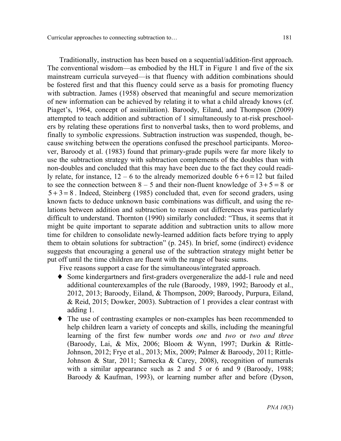Traditionally, instruction has been based on a sequential/addition-first approach. The conventional wisdom—as embodied by the HLT in Figure 1 and five of the six mainstream curricula surveyed—is that fluency with addition combinations should be fostered first and that this fluency could serve as a basis for promoting fluency with subtraction. James (1958) observed that meaningful and secure memorization of new information can be achieved by relating it to what a child already knows (cf. Piaget's, 1964, concept of assimilation). Baroody, Eiland, and Thompson (2009) attempted to teach addition and subtraction of 1 simultaneously to at-risk preschoolers by relating these operations first to nonverbal tasks, then to word problems, and finally to symbolic expressions. Subtraction instruction was suspended, though, because switching between the operations confused the preschool participants. Moreover, Baroody et al. (1983) found that primary-grade pupils were far more likely to use the subtraction strategy with subtraction complements of the doubles than with non-doubles and concluded that this may have been due to the fact they could readily relate, for instance,  $12 - 6$  to the already memorized double  $6 + 6 = 12$  but failed to see the connection between  $8 - 5$  and their non-fluent knowledge of  $3 + 5 = 8$  or  $5 + 3 = 8$ . Indeed, Steinberg (1985) concluded that, even for second graders, using known facts to deduce unknown basic combinations was difficult, and using the relations between addition and subtraction to reason out differences was particularly difficult to understand. Thornton (1990) similarly concluded: "Thus, it seems that it might be quite important to separate addition and subtraction units to allow more time for children to consolidate newly-learned addition facts before trying to apply them to obtain solutions for subtraction" (p. 245). In brief, some (indirect) evidence suggests that encouraging a general use of the subtraction strategy might better be put off until the time children are fluent with the range of basic sums.

Five reasons support a case for the simultaneous/integrated approach.

- ♦ Some kindergartners and first-graders overgeneralize the add-1 rule and need additional counterexamples of the rule (Baroody, 1989, 1992; Baroody et al., 2012, 2013; Baroody, Eiland, & Thompson, 2009; Baroody, Purpura, Eiland, & Reid, 2015; Dowker, 2003). Subtraction of 1 provides a clear contrast with adding 1.
- ♦ The use of contrasting examples or non-examples has been recommended to help children learn a variety of concepts and skills, including the meaningful learning of the first few number words *one* and *two* or *two and three* (Baroody, Lai, & Mix, 2006; Bloom & Wynn, 1997; Durkin & Rittle-Johnson, 2012; Frye et al., 2013; Mix, 2009; Palmer & Baroody, 2011; Rittle-Johnson & Star, 2011; Sarnecka & Carey, 2008), recognition of numerals with a similar appearance such as 2 and 5 or 6 and 9 (Baroody, 1988; Baroody & Kaufman, 1993), or learning number after and before (Dyson,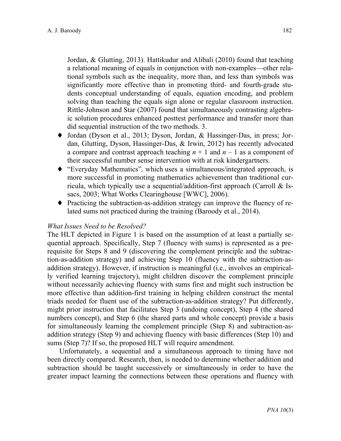Jordan, & Glutting, 2013). Hattikudur and Alibali (2010) found that teaching a relational meaning of equals in conjunction with non-examples—other relational symbols such as the inequality, more than, and less than symbols was significantly more effective than in promoting third- and fourth-grade students conceptual understanding of equals, equation encoding, and problem solving than teaching the equals sign alone or regular classroom instruction. Rittle-Johnson and Star (2007) found that simultaneously contrasting algebraic solution procedures enhanced posttest performance and transfer more than did sequential instruction of the two methods. 3.

- ♦ Jordan (Dyson et al., 2013; Dyson, Jordan, & Hassinger-Das, in press; Jordan, Glutting, Dyson, Hassinger-Das, & Irwin, 2012) has recently advocated a compare and contrast approach teaching *n* + 1 and *n* – 1 as a component of their successful number sense intervention with at risk kindergartners.
- ♦ "Everyday Mathematics"*,* which uses a simultaneous/integrated approach, is more successful in promoting mathematics achievement than traditional curricula, which typically use a sequential/addition-first approach (Carroll & Issacs, 2003; What Works Clearinghouse [WWC], 2006).
- ♦ Practicing the subtraction-as-addition strategy can improve the fluency of related sums not practiced during the training (Baroody et al., 2014).

#### *What Issues Need to be Resolved?*

The HLT depicted in Figure 1 is based on the assumption of at least a partially sequential approach. Specifically, Step 7 (fluency with sums) is represented as a prerequisite for Steps 8 and 9 (discovering the complement principle and the subtraction-as-addition strategy) and achieving Step 10 (fluency with the subtraction-asaddition strategy). However, if instruction is meaningful (i.e., involves an empirically verified learning trajectory), might children discover the complement principle without necessarily achieving fluency with sums first and might such instruction be more effective than addition-first training in helping children construct the mental triads needed for fluent use of the subtraction-as-addition strategy? Put differently, might prior instruction that facilitates Step 3 (undoing concept), Step 4 (the shared numbers concept), and Step 6 (the shared parts and whole concept) provide a basis for simultaneously learning the complement principle (Step 8) and subtraction-asaddition strategy (Step 9) and achieving fluency with basic differences (Step 10) and sums (Step 7)? If so, the proposed HLT will require amendment.

Unfortunately, a sequential and a simultaneous approach to timing have not been directly compared. Research, then, is needed to determine whether addition and subtraction should be taught successively or simultaneously in order to have the greater impact learning the connections between these operations and fluency with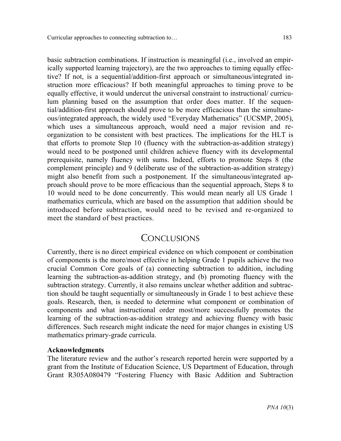basic subtraction combinations. If instruction is meaningful (i.e., involved an empirically supported learning trajectory), are the two approaches to timing equally effective? If not, is a sequential/addition-first approach or simultaneous/integrated instruction more efficacious? If both meaningful approaches to timing prove to be equally effective, it would undercut the universal constraint to instructional/ curriculum planning based on the assumption that order does matter. If the sequential/addition-first approach should prove to be more efficacious than the simultaneous/integrated approach, the widely used "Everyday Mathematics" (UCSMP, 2005), which uses a simultaneous approach, would need a major revision and reorganization to be consistent with best practices. The implications for the HLT is that efforts to promote Step 10 (fluency with the subtraction-as-addition strategy) would need to be postponed until children achieve fluency with its developmental prerequisite, namely fluency with sums. Indeed, efforts to promote Steps 8 (the complement principle) and 9 (deliberate use of the subtraction-as-addition strategy) might also benefit from such a postponement. If the simultaneous/integrated approach should prove to be more efficacious than the sequential approach, Steps 8 to 10 would need to be done concurrently. This would mean nearly all US Grade 1 mathematics curricula, which are based on the assumption that addition should be introduced before subtraction, would need to be revised and re-organized to meet the standard of best practices.

# **CONCLUSIONS**

Currently, there is no direct empirical evidence on which component or combination of components is the more/most effective in helping Grade 1 pupils achieve the two crucial Common Core goals of (a) connecting subtraction to addition, including learning the subtraction-as-addition strategy, and (b) promoting fluency with the subtraction strategy. Currently, it also remains unclear whether addition and subtraction should be taught sequentially or simultaneously in Grade 1 to best achieve these goals. Research, then, is needed to determine what component or combination of components and what instructional order most/more successfully promotes the learning of the subtraction-as-addition strategy and achieving fluency with basic differences. Such research might indicate the need for major changes in existing US mathematics primary-grade curricula.

#### **Acknowledgments**

The literature review and the author's research reported herein were supported by a grant from the Institute of Education Science, US Department of Education, through Grant R305A080479 "Fostering Fluency with Basic Addition and Subtraction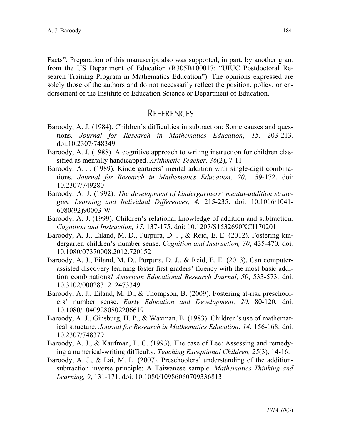Facts". Preparation of this manuscript also was supported, in part, by another grant from the US Department of Education (R305B100017: "UIUC Postdoctoral Research Training Program in Mathematics Education"). The opinions expressed are solely those of the authors and do not necessarily reflect the position, policy, or endorsement of the Institute of Education Science or Department of Education.

### **REFERENCES**

- Baroody, A. J. (1984). Children's difficulties in subtraction: Some causes and questions. *Journal for Research in Mathematics Education*, *15,* 203-213. doi:10.2307/748349
- Baroody, A. J. (1988). A cognitive approach to writing instruction for children classified as mentally handicapped. *Arithmetic Teacher, 36*(2), 7-11.
- Baroody, A. J. (1989). Kindergartners' mental addition with single-digit combinations. *Journal for Research in Mathematics Education, 20*, 159-172. doi: 10.2307/749280
- Baroody, A. J. (1992). *The development of kindergartners' mental-addition strategies. Learning and Individual Differences, 4*, 215-235. doi: 10.1016/1041- 6080(92)90003-W
- Baroody, A. J. (1999). Children's relational knowledge of addition and subtraction. *Cognition and Instruction, 17*, 137-175. doi: 10.1207/S1532690XCI170201
- Baroody, A. J., Eiland, M. D., Purpura, D. J., & Reid, E. E. (2012). Fostering kindergarten children's number sense. *Cognition and Instruction, 30*, 435-470*.* doi: 10.1080/07370008.2012.720152
- Baroody, A. J., Eiland, M. D., Purpura, D. J., & Reid, E. E. (2013). Can computerassisted discovery learning foster first graders' fluency with the most basic addition combinations? *American Educational Research Journal, 50*, 533-573. doi: 10.3102/0002831212473349
- Baroody, A. J., Eiland, M. D., & Thompson, B. (2009). Fostering at-risk preschoolers' number sense. *Early Education and Development, 20*, 80-120*.* doi: 10.1080/10409280802206619
- Baroody, A. J., Ginsburg, H. P., & Waxman, B. (1983). Children's use of mathematical structure. *Journal for Research in Mathematics Education*, *14*, 156-168. doi: 10.2307/748379
- Baroody, A. J., & Kaufman, L. C. (1993). The case of Lee: Assessing and remedying a numerical-writing difficulty. *Teaching Exceptional Children, 25*(3), 14-16.
- Baroody, A. J., & Lai, M. L. (2007). Preschoolers' understanding of the additionsubtraction inverse principle: A Taiwanese sample. *Mathematics Thinking and Learning, 9*, 131-171. doi: 10.1080/10986060709336813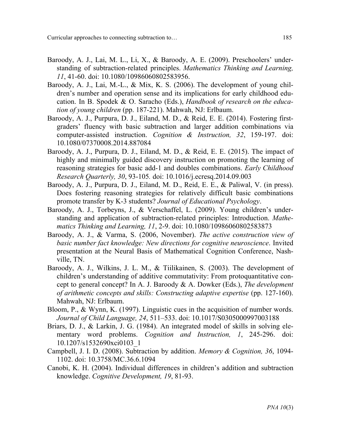Curricular approaches to connecting subtraction to… 185

- Baroody, A. J., Lai, M. L., Li, X., & Baroody, A. E. (2009). Preschoolers' understanding of subtraction-related principles. *Mathematics Thinking and Learning, 11*, 41-60. doi: 10.1080/10986060802583956.
- Baroody, A. J., Lai, M.-L., & Mix, K. S. (2006). The development of young children's number and operation sense and its implications for early childhood education. In B. Spodek & O. Saracho (Eds.), *Handbook of research on the education of young children* (pp. 187-221). Mahwah, NJ: Erlbaum.
- Baroody, A. J., Purpura, D. J., Eiland, M. D., & Reid, E. E. (2014). Fostering firstgraders' fluency with basic subtraction and larger addition combinations via computer-assisted instruction. *Cognition & Instruction, 32*, 159-197. doi: 10.1080/07370008.2014.887084
- Baroody, A. J., Purpura, D. J., Eiland, M. D., & Reid, E. E. (2015). The impact of highly and minimally guided discovery instruction on promoting the learning of reasoning strategies for basic add-1 and doubles combinations. *Early Childhood Research Quarterly, 30*, 93-105*.* doi: 10.1016/j.ecresq.2014.09.003
- Baroody, A. J., Purpura, D. J., Eiland, M. D., Reid, E. E., & Paliwal, V. (in press). Does fostering reasoning strategies for relatively difficult basic combinations promote transfer by K-3 students? *Journal of Educational Psychology*.
- Baroody, A. J., Torbeyns, J., & Verschaffel, L. (2009). Young children's understanding and application of subtraction-related principles: Introduction. *Mathematics Thinking and Learning, 11*, 2-9. doi: 10.1080/10986060802583873
- Baroody, A. J., & Varma, S. (2006, November). *The active construction view of basic number fact knowledge: New directions for cognitive neuroscience*. Invited presentation at the Neural Basis of Mathematical Cognition Conference, Nashville, TN.
- Baroody, A. J., Wilkins, J. L. M., & Tiilikainen, S. (2003). The development of children's understanding of additive commutativity: From protoquantitative concept to general concept? In A. J. Baroody & A. Dowker (Eds.), *The development of arithmetic concepts and skills: Constructing adaptive expertise* (pp. 127-160). Mahwah, NJ: Erlbaum.
- Bloom, P., & Wynn, K. (1997). Linguistic cues in the acquisition of number words. *Journal of Child Language, 24*, 511–533. doi: 10.1017/S0305000997003188
- Briars, D. J., & Larkin, J. G. (1984). An integrated model of skills in solving elementary word problems. *Cognition and Instruction, 1*, 245-296. doi: 10.1207/s1532690xci0103\_1
- Campbell, J. I. D. (2008). Subtraction by addition. *Memory & Cognition, 36*, 1094- 1102. doi: 10.3758/MC.36.6.1094
- Canobi, K. H. (2004). Individual differences in children's addition and subtraction knowledge. *Cognitive Development, 19*, 81-93.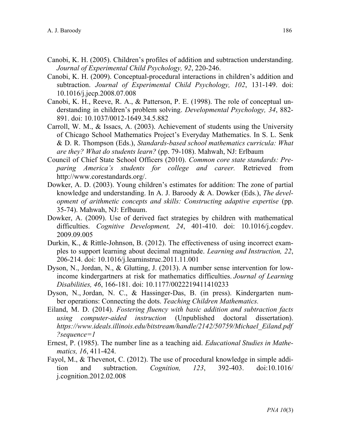- Canobi, K. H. (2005). Children's profiles of addition and subtraction understanding. *Journal of Experimental Child Psychology, 92*, 220-246.
- Canobi, K. H. (2009). Conceptual-procedural interactions in children's addition and subtraction. *Journal of Experimental Child Psychology, 102*, 131-149. doi: 10.1016/j.jecp.2008.07.008
- Canobi, K. H., Reeve, R. A., & Patterson, P. E. (1998). The role of conceptual understanding in children's problem solving. *Developmental Psychology, 34*, 882- 891. doi: 10.1037/0012-1649.34.5.882
- Carroll, W. M., & Issacs, A. (2003). Achievement of students using the University of Chicago School Mathematics Project's Everyday Mathematics. In S. L. Senk & D. R. Thompson (Eds.), *Standards-based school mathematics curricula: What are they? What do students learn?* (pp. 79-108). Mahwah, NJ: Erlbaum
- Council of Chief State School Officers (2010). *Common core state standards: Preparing America's students for college and career.* Retrieved from http://www.corestandards.org/.
- Dowker, A. D. (2003). Young children's estimates for addition: The zone of partial knowledge and understanding. In A. J. Baroody & A. Dowker (Eds.), *The development of arithmetic concepts and skills: Constructing adaptive expertise* (pp. 35-74). Mahwah, NJ: Erlbaum.
- Dowker, A. (2009). Use of derived fact strategies by children with mathematical difficulties. *Cognitive Development, 24*, 401-410. doi: 10.1016/j.cogdev. 2009.09.005
- Durkin, K., & Rittle-Johnson, B. (2012). The effectiveness of using incorrect examples to support learning about decimal magnitude. *Learning and Instruction, 22*, 206-214. doi: 10.1016/j.learninstruc.2011.11.001
- Dyson, N., Jordan, N., & Glutting, J. (2013). A number sense intervention for lowincome kindergartners at risk for mathematics difficulties. *Journal of Learning Disabilities, 46*, 166-181. doi: 10.1177/0022219411410233
- Dyson, N., Jordan, N. C., & Hassinger-Das, B. (in press). Kindergarten number operations: Connecting the dots. *Teaching Children Mathematics.*
- Eiland, M. D. (2014). *Fostering fluency with basic addition and subtraction facts using computer-aided instruction* (Unpublished doctoral dissertation). *https://www.ideals.illinois.edu/bitstream/handle/2142/50759/Michael\_Eiland.pdf ?sequence=1*
- Ernest, P. (1985). The number line as a teaching aid. *Educational Studies in Mathematics, 16*, 411-424.
- Fayol, M., & Thevenot, C. (2012). The use of procedural knowledge in simple addition and subtraction. *Cognition, 123*, 392-403. doi:10.1016/ j.cognition.2012.02.008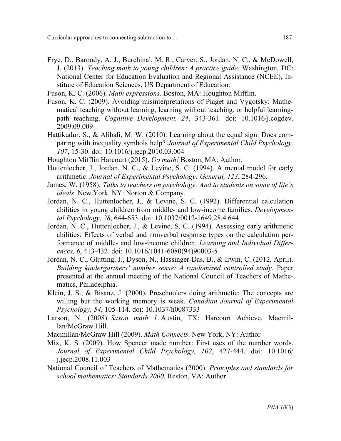- Frye, D., Baroody, A. J., Burchinal, M. R., Carver, S., Jordan, N. C., & McDowell, J. (2013). *Teaching math to young children: A practice guide*. Washington, DC: National Center for Education Evaluation and Regional Assistance (NCEE), Institute of Education Sciences, US Department of Education.
- Fuson, K. C. (2006). *Math expressions.* Boston, MA: Houghton Mifflin.
- Fuson, K. C. (2009). Avoiding misinterpretations of Piaget and Vygotsky: Mathematical teaching without learning, learning without teaching, or helpful learningpath teaching. *Cognitive Development, 24*, 343-361. doi: 10.1016/j.cogdev. 2009.09.009
- Hattikudur, S., & Alibali, M. W. (2010). Learning about the equal sign: Does comparing with inequality symbols help? *Journal of Experimental Child Psychology, 107*, 15-30. doi: 10.1016/j.jecp.2010.03.004
- Houghton Mifflin Harcourt (2015). *Go math!* Boston, MA: Author.
- Huttenlocher, J., Jordan, N. C., & Levine, S. C. (1994). A mental model for early arithmetic. *Journal of Experimental Psychology: General, 123*, 284-296.
- James, W. (1958). *Talks to teachers on psychology: And to students on some of life's ideals*. New York, NY: Norton & Company.
- Jordan, N. C., Huttenlocher, J., & Levine, S. C. (1992). Differential calculation abilities in young children from middle- and low-income families. *Developmental Psychology, 28*, 644-653. doi: 10.1037/0012-1649.28.4.644
- Jordan, N. C., Huttenlocher, J., & Levine, S. C. (1994). Assessing early arithmetic abilities: Effects of verbal and nonverbal response types on the calculation performance of middle- and low-income children. *Learning and Individual Differences, 6*, 413-432. doi: 10.1016/1041-6080(94)90003-5
- Jordan, N. C., Glutting, J., Dyson, N., Hassinger-Das, B., & Irwin, C. (2012, April). *Building kindergartners' number sense: A randomized controlled study*. Paper presented at the annual meeting of the National Council of Teachers of Mathematics, Philadelphia.
- Klein, J. S., & Bisanz, J. (2000). Preschoolers doing arithmetic: The concepts are willing but the working memory is weak. *Canadian Journal of Experimental Psychology, 54*, 105-114. doi: 10.1037/h0087333
- Larson, N. (2008). *Saxon math 1*. Austin, TX: Harcourt Achieve. Macmillan/McGraw Hill.
- Macmillan/McGraw Hill (2009). *Math Connects*. New York, NY: Author
- Mix, K. S. (2009). How Spencer made number: First uses of the number words. *Journal of Experimental Child Psychology, 102*, 427-444. doi: 10.1016/ j.jecp.2008.11.003
- National Council of Teachers of Mathematics (2000). *Principles and standards for school mathematics: Standards 2000.* Reston, VA: Author.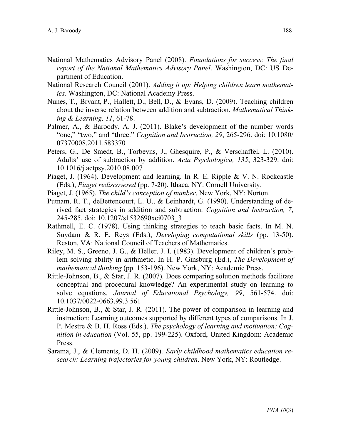- National Mathematics Advisory Panel (2008). *Foundations for success: The final report of the National Mathematics Advisory Panel*. Washington, DC: US Department of Education.
- National Research Council (2001). *Adding it up: Helping children learn mathematics.* Washington, DC: National Academy Press.
- Nunes, T., Bryant, P., Hallett, D., Bell, D., & Evans, D. (2009). Teaching children about the inverse relation between addition and subtraction. *Mathematical Thinking & Learning, 11*, 61-78.
- Palmer, A., & Baroody, A. J. (2011). Blake's development of the number words "one," "two," and "three." *Cognition and Instruction, 29*, 265-296. doi: 10.1080/ 07370008.2011.583370
- Peters, G., De Smedt, B., Torbeyns, J., Ghesquire, P., & Verschaffel, L. (2010). Adults' use of subtraction by addition. *Acta Psychologica, 135*, 323-329. doi: 10.1016/j.actpsy.2010.08.007
- Piaget, J. (1964). Development and learning. In R. E. Ripple & V. N. Rockcastle (Eds.), *Piaget rediscovered* (pp. 7-20). Ithaca, NY: Cornell University.
- Piaget, J. (1965). *The child's conception of number*. New York, NY: Norton.
- Putnam, R. T., deBettencourt, L. U., & Leinhardt, G. (1990). Understanding of derived fact strategies in addition and subtraction. *Cognition and Instruction, 7*, 245-285. doi: 10.1207/s1532690xci0703\_3
- Rathmell, E. C. (1978). Using thinking strategies to teach basic facts. In M. N. Suydam & R. E. Reys (Eds.), *Developing computational skills* (pp. 13-50). Reston, VA: National Council of Teachers of Mathematics.
- Riley, M. S., Greeno, J. G., & Heller, J. I. (1983). Development of children's problem solving ability in arithmetic. In H. P. Ginsburg (Ed.), *The Development of mathematical thinking* (pp. 153-196). New York, NY: Academic Press.
- Rittle-Johnson, B., & Star, J. R. (2007). Does comparing solution methods facilitate conceptual and procedural knowledge? An experimental study on learning to solve equations. *Journal of Educational Psychology, 99*, 561-574. doi: 10.1037/0022-0663.99.3.561
- Rittle-Johnson, B., & Star, J. R. (2011). The power of comparison in learning and instruction: Learning outcomes supported by different types of comparisons. In J. P. Mestre & B. H. Ross (Eds.), *The psychology of learning and motivation: Cognition in education* (Vol. 55, pp. 199-225). Oxford, United Kingdom: Academic Press.
- Sarama, J., & Clements, D. H. (2009). *Early childhood mathematics education research: Learning trajectories for young children*. New York, NY: Routledge.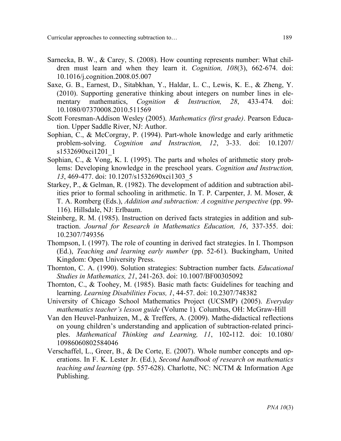- Sarnecka, B. W., & Carey, S. (2008). How counting represents number: What children must learn and when they learn it. *Cognition, 108*(3), 662-674. doi: 10.1016/j.cognition.2008.05.007
- Saxe, G. B., Earnest, D., Sitabkhan, Y., Haldar, L. C., Lewis, K. E., & Zheng, Y. (2010). Supporting generative thinking about integers on number lines in elementary mathematics, *Cognition & Instruction, 28*, 433-474*.* doi: 10.1080/07370008.2010.511569
- Scott Foresman-Addison Wesley (2005). *Mathematics (first grade)*. Pearson Education. Upper Saddle River, NJ: Author.
- Sophian, C., & McCorgray, P. (1994). Part-whole knowledge and early arithmetic problem-solving. *Cognition and Instruction, 12*, 3-33. doi: 10.1207/ s1532690xci1201\_1
- Sophian, C., & Vong, K. I. (1995). The parts and wholes of arithmetic story problems: Developing knowledge in the preschool years. *Cognition and Instruction, 13*, 469-477. doi: 10.1207/s1532690xci1303\_5
- Starkey, P., & Gelman, R. (1982). The development of addition and subtraction abilities prior to formal schooling in arithmetic. In T. P. Carpenter, J. M. Moser, & T. A. Romberg (Eds.), *Addition and subtraction: A cognitive perspective* (pp. 99- 116). Hillsdale, NJ: Erlbaum.
- Steinberg, R. M. (1985). Instruction on derived facts strategies in addition and subtraction. *Journal for Research in Mathematics Education, 16*, 337-355. doi: 10.2307/749356
- Thompson, I. (1997). The role of counting in derived fact strategies. In I. Thompson (Ed.), *Teaching and learning early number* (pp. 52-61). Buckingham, United Kingdom: Open University Press.
- Thornton, C. A. (1990). Solution strategies: Subtraction number facts. *Educational Studies in Mathematics, 21*, 241-263. doi: 10.1007/BF00305092
- Thornton, C., & Toohey, M. (1985). Basic math facts: Guidelines for teaching and learning. *Learning Disabilities Focus, 1*, 44-57. doi: 10.2307/748382
- University of Chicago School Mathematics Project (UCSMP) (2005). *Everyday mathematics teacher's lesson guide* (Volume 1)*.* Columbus, OH: McGraw-Hill
- Van den Heuvel-Panhuizen, M., & Treffers, A. (2009). Mathe-didactical reflections on young children's understanding and application of subtraction-related principles. *Mathematical Thinking and Learning, 11*, 102**-**112. doi: 10.1080/ 10986060802584046
- Verschaffel, L., Greer, B., & De Corte, E. (2007). Whole number concepts and operations. In F. K. Lester Jr. (Ed.), *Second handbook of research on mathematics teaching and learning* (pp. 557-628). Charlotte, NC: NCTM & Information Age Publishing.